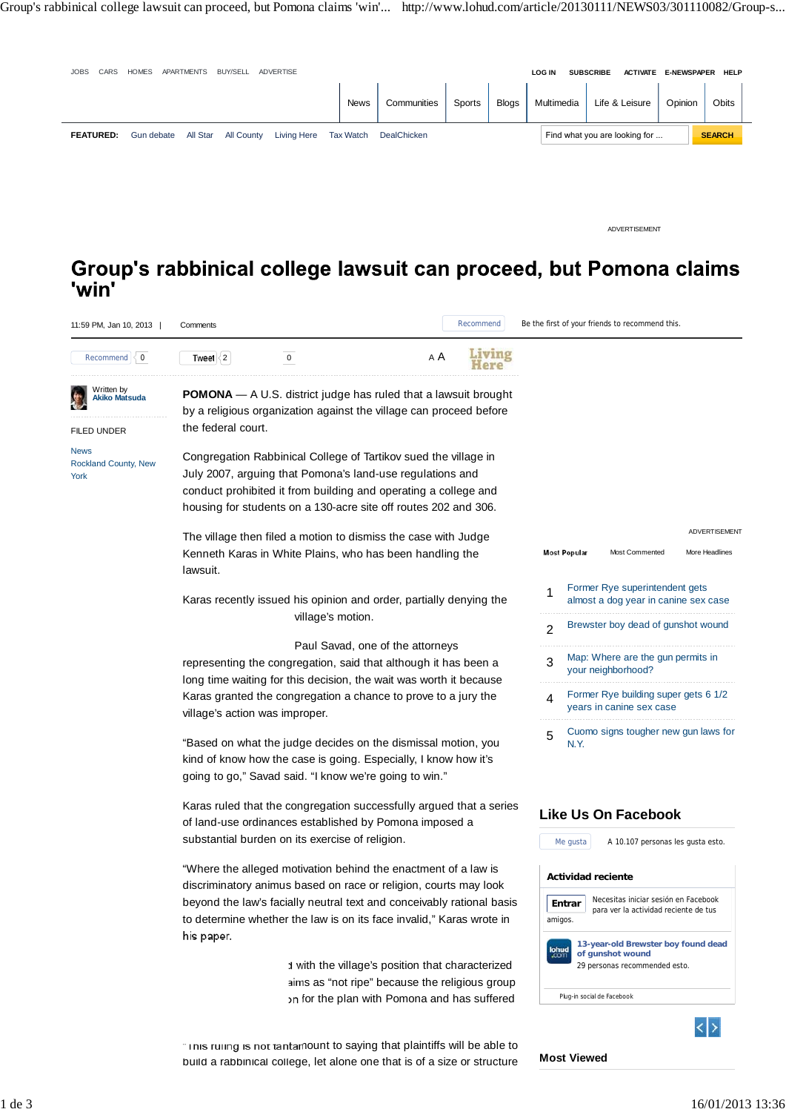

"Based on what the judge decides on the dismissal motion, you kind of know how the case is going. Especially, I know how it's going to go," Savad said. "I know we're going to win."

Karas ruled that the congregation successfully argued that a series of land-use ordinances established by Pomona imposed a substantial burden on its exercise of religion.

"Where the alleged motivation behind the enactment of a law is discriminatory animus based on race or religion, courts may look beyond the law's facially neutral text and conceivably rational basis to determine whether the law is on its face invalid," Karas wrote in his paper.

> d with the village's position that characterized aims as "not ripe" because the religious group h for the plan with Pomona and has suffered

## **Like Us On Facebook**

N.Y.

**Most Viewed**



" Inis ruling is not tantamount to saying that plaintiffs will be able to build a rabbinical college, let alone one that is of a size or structure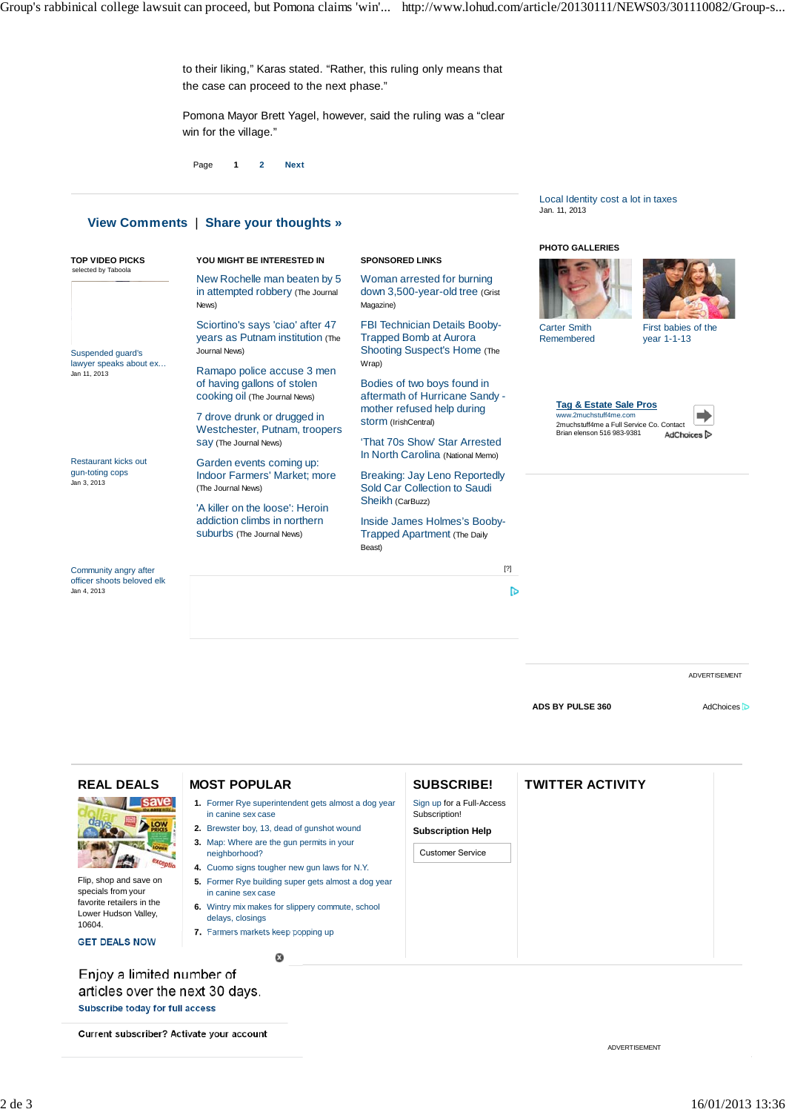to their liking," Karas stated. "Rather, this ruling only means that the case can proceed to the next phase."

Pomona Mayor Brett Yagel, however, said the ruling was a "clear win for the village."

Page **1 2 Next**

## **View Comments** | **Share your thoughts »**

|                                                                                                                                                   |                                                                                                                                                                                                                                      |                                                                                                                                                                                                                                                                                                                                                                                                                                                                                                                                                                                                                                        | <b>PHOTO GALLERIES</b>                                                  |                      |
|---------------------------------------------------------------------------------------------------------------------------------------------------|--------------------------------------------------------------------------------------------------------------------------------------------------------------------------------------------------------------------------------------|----------------------------------------------------------------------------------------------------------------------------------------------------------------------------------------------------------------------------------------------------------------------------------------------------------------------------------------------------------------------------------------------------------------------------------------------------------------------------------------------------------------------------------------------------------------------------------------------------------------------------------------|-------------------------------------------------------------------------|----------------------|
| <b>TOP VIDEO PICKS</b><br>selected by Taboola                                                                                                     | YOU MIGHT BE INTERESTED IN                                                                                                                                                                                                           | <b>SPONSORED LINKS</b>                                                                                                                                                                                                                                                                                                                                                                                                                                                                                                                                                                                                                 |                                                                         |                      |
|                                                                                                                                                   | New Rochelle man beaten by 5<br>Woman arrested for burning<br>in attempted robbery (The Journal<br>down 3,500-year-old tree (Grist<br>Magazine)<br>News)<br>Sciortino's says 'ciao' after 47<br><b>FBI Technician Details Booby-</b> |                                                                                                                                                                                                                                                                                                                                                                                                                                                                                                                                                                                                                                        |                                                                         |                      |
| <b>Suspended quard's</b>                                                                                                                          | years as Putnam institution (The<br>Journal News)                                                                                                                                                                                    | <b>Trapped Bomb at Aurora</b><br>Shooting Suspect's Home (The                                                                                                                                                                                                                                                                                                                                                                                                                                                                                                                                                                          | <b>Carter Smith</b><br>First babies of the<br>Remembered<br>year 1-1-13 |                      |
| lawyer speaks about ex<br>Jan 11, 2013                                                                                                            | Ramapo police accuse 3 men<br>of having gallons of stolen<br>COOKing Oil (The Journal News)                                                                                                                                          | Wrap)<br>Bodies of two boys found in<br>aftermath of Hurricane Sandy -                                                                                                                                                                                                                                                                                                                                                                                                                                                                                                                                                                 | <b>Tag &amp; Estate Sale Pros</b>                                       |                      |
|                                                                                                                                                   | 7 drove drunk or drugged in<br>Westchester, Putnam, troopers                                                                                                                                                                         | mother refused help during<br>Storm (IrishCentral)                                                                                                                                                                                                                                                                                                                                                                                                                                                                                                                                                                                     | www.2muchstuff4me.com<br>2muchstuff4me a Full Service Co. Contact       |                      |
|                                                                                                                                                   | Say (The Journal News)                                                                                                                                                                                                               | 'That 70s Show' Star Arrested<br>In North Carolina (National Memo)                                                                                                                                                                                                                                                                                                                                                                                                                                                                                                                                                                     | Brian elenson 516 983-9381<br>AdChoices <sup>[&gt;</sup>                |                      |
| <b>Restaurant kicks out</b><br>gun-toting cops                                                                                                    | Garden events coming up:<br><b>Indoor Farmers' Market: more</b><br>(The Journal News)                                                                                                                                                | Breaking: Jay Leno Reportedly<br>Sold Car Collection to Saudi                                                                                                                                                                                                                                                                                                                                                                                                                                                                                                                                                                          |                                                                         |                      |
|                                                                                                                                                   | 'A killer on the loose': Heroin                                                                                                                                                                                                      |                                                                                                                                                                                                                                                                                                                                                                                                                                                                                                                                                                                                                                        |                                                                         |                      |
|                                                                                                                                                   | Suburbs (The Journal News)                                                                                                                                                                                                           | <b>Trapped Apartment (The Daily</b><br>Beast)                                                                                                                                                                                                                                                                                                                                                                                                                                                                                                                                                                                          |                                                                         |                      |
| Community angry after                                                                                                                             |                                                                                                                                                                                                                                      | $[?] % \begin{subfigure}[t]{0.45\textwidth} \includegraphics[width=\textwidth]{figures/fig_10.pdf} \caption{The average number of times in the left and right.} \label{fig:2} \end{subfigure} \hspace{0.05cm} \begin{subfigure}[t]{0.45\textwidth} \includegraphics[width=\textwidth]{figures/fig_10.pdf} \caption{The average number of times in the right and right.} \label{fig:2} \end{subfigure} \hspace{0.05cm} \begin{subfigure}[t]{0.45\textwidth} \includegraphics[width=\textwidth]{figures/fig_10.pdf} \caption{The average number of times in the right and right.} \label{fig:2} \end{subfigure} \hspace{0.05cm} \begin{$ |                                                                         |                      |
| Jan 3, 2013<br>Sheikh (CarBuzz)<br>addiction climbs in northern<br>Inside James Holmes's Booby-<br>officer shoots beloved elk<br>Jan 4, 2013<br>℔ |                                                                                                                                                                                                                                      |                                                                                                                                                                                                                                                                                                                                                                                                                                                                                                                                                                                                                                        |                                                                         |                      |
|                                                                                                                                                   |                                                                                                                                                                                                                                      |                                                                                                                                                                                                                                                                                                                                                                                                                                                                                                                                                                                                                                        |                                                                         |                      |
|                                                                                                                                                   |                                                                                                                                                                                                                                      |                                                                                                                                                                                                                                                                                                                                                                                                                                                                                                                                                                                                                                        |                                                                         |                      |
|                                                                                                                                                   |                                                                                                                                                                                                                                      |                                                                                                                                                                                                                                                                                                                                                                                                                                                                                                                                                                                                                                        |                                                                         | <b>ADVERTISEMENT</b> |
|                                                                                                                                                   |                                                                                                                                                                                                                                      |                                                                                                                                                                                                                                                                                                                                                                                                                                                                                                                                                                                                                                        | ADS BY PULSE 360                                                        | <b>AdChoices</b>     |
|                                                                                                                                                   |                                                                                                                                                                                                                                      |                                                                                                                                                                                                                                                                                                                                                                                                                                                                                                                                                                                                                                        |                                                                         |                      |

| <b>REAL DEALS</b>                                                                                                                   | <b>MOST POPULAR</b>                                                                                                                                                                                                                                                                                                                                                                                                                 | <b>SUBSCRIBE!</b>                                                                                 | <b>TWITTER ACTIVITY</b> |  |
|-------------------------------------------------------------------------------------------------------------------------------------|-------------------------------------------------------------------------------------------------------------------------------------------------------------------------------------------------------------------------------------------------------------------------------------------------------------------------------------------------------------------------------------------------------------------------------------|---------------------------------------------------------------------------------------------------|-------------------------|--|
| Flip, shop and save on<br>specials from your<br>favorite retailers in the<br>Lower Hudson Valley,<br>10604.<br><b>GET DEALS NOW</b> | 1. Former Rye superintendent gets almost a dog year<br>in canine sex case<br>2. Brewster boy, 13, dead of gunshot wound<br>3. Map: Where are the gun permits in your<br>neighborhood?<br>4. Cuomo signs tougher new gun laws for N.Y.<br>5. Former Rye building super gets almost a dog year<br>in canine sex case<br>Wintry mix makes for slippery commute, school<br>6.<br>delays, closings<br>7. Farmers markets keep popping up | Sign up for a Full-Access<br>Subscription!<br><b>Subscription Help</b><br><b>Customer Service</b> |                         |  |
|                                                                                                                                     | $\boldsymbol{\Omega}$                                                                                                                                                                                                                                                                                                                                                                                                               |                                                                                                   |                         |  |
| Enjoy a limited number of<br>articles over the next 30 days.                                                                        |                                                                                                                                                                                                                                                                                                                                                                                                                                     |                                                                                                   |                         |  |

ar Subscribe today for full access

Current subscriber? Activate your account

ADVERTISEMENT

Local Identity cost a lot in taxes

Jan. 11, 2013